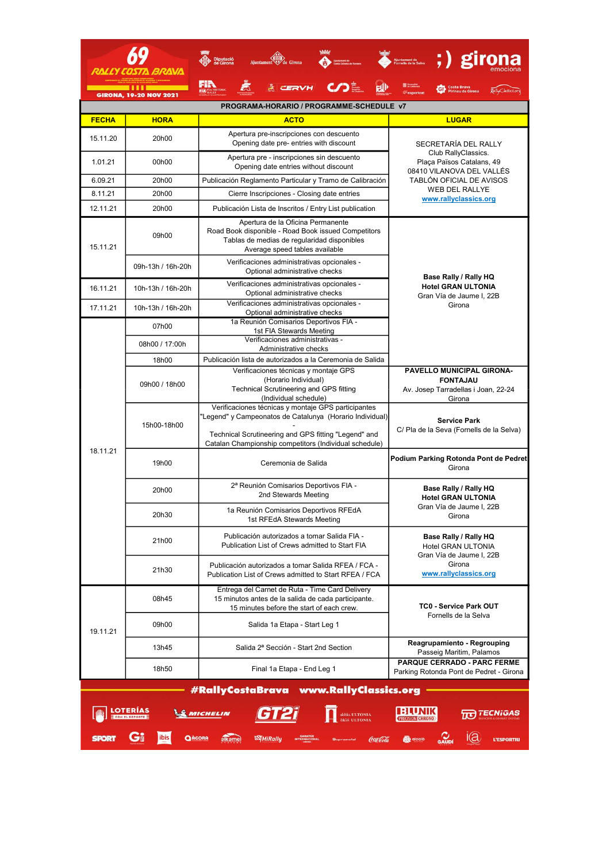| <b>FECHA</b>                                                                                                         | <b>GIRONA, 19-20 NOV 2021</b><br><b>HORA</b> |                                                                                                                                                                                                                                   | <b>Costa Brava</b><br>Pirineu de Girona                                                                                                                                      |  |  |  |  |  |
|----------------------------------------------------------------------------------------------------------------------|----------------------------------------------|-----------------------------------------------------------------------------------------------------------------------------------------------------------------------------------------------------------------------------------|------------------------------------------------------------------------------------------------------------------------------------------------------------------------------|--|--|--|--|--|
|                                                                                                                      |                                              |                                                                                                                                                                                                                                   |                                                                                                                                                                              |  |  |  |  |  |
|                                                                                                                      |                                              |                                                                                                                                                                                                                                   | PROGRAMA-HORARIO / PROGRAMME-SCHEDULE v7                                                                                                                                     |  |  |  |  |  |
|                                                                                                                      |                                              | <b>ACTO</b>                                                                                                                                                                                                                       | <b>LUGAR</b>                                                                                                                                                                 |  |  |  |  |  |
| 15.11.20                                                                                                             | 20h00                                        | Apertura pre-inscripciones con descuento<br>Opening date pre- entries with discount                                                                                                                                               | SECRETARÍA DEL RALLY<br>Club RallyClassics.<br>Plaça Països Catalans, 49<br>08410 VILANOVA DEL VALLÉS<br>TABLÓN OFICIAL DE AVISOS<br>WEB DEL RALLYE<br>www.rallyclassics.org |  |  |  |  |  |
| 1.01.21                                                                                                              | 00 <sub>h00</sub>                            | Apertura pre - inscripciones sin descuento<br>Opening date entries without discount                                                                                                                                               |                                                                                                                                                                              |  |  |  |  |  |
| 6.09.21                                                                                                              | 20h00                                        | Publicación Reglamento Particular y Tramo de Calibración                                                                                                                                                                          |                                                                                                                                                                              |  |  |  |  |  |
| 8.11.21                                                                                                              | 20h00                                        | Cierre Inscripciones - Closing date entries                                                                                                                                                                                       |                                                                                                                                                                              |  |  |  |  |  |
| 12.11.21                                                                                                             | 20h00                                        | Publicación Lista de Inscritos / Entry List publication                                                                                                                                                                           |                                                                                                                                                                              |  |  |  |  |  |
| 15.11.21                                                                                                             | 09h00                                        | Apertura de la Oficina Permanente<br>Road Book disponible - Road Book issued Competitors<br>Tablas de medias de regularidad disponibles<br>Average speed tables available                                                         | Base Rally / Rally HQ                                                                                                                                                        |  |  |  |  |  |
|                                                                                                                      | 09h-13h / 16h-20h                            | Verificaciones administrativas opcionales -<br>Optional administrative checks                                                                                                                                                     |                                                                                                                                                                              |  |  |  |  |  |
| 16.11.21                                                                                                             | 10h-13h / 16h-20h                            | Verificaciones administrativas opcionales -<br>Optional administrative checks                                                                                                                                                     | <b>Hotel GRAN ULTONIA</b><br>Gran Vía de Jaume I, 22B                                                                                                                        |  |  |  |  |  |
| 17.11.21                                                                                                             | 10h-13h / 16h-20h                            | Verificaciones administrativas opcionales -<br>Optional administrative checks                                                                                                                                                     | Girona                                                                                                                                                                       |  |  |  |  |  |
|                                                                                                                      | 07h00                                        | 1a Reunión Comisarios Deportivos FIA -<br>1st FIA Stewards Meeting                                                                                                                                                                |                                                                                                                                                                              |  |  |  |  |  |
|                                                                                                                      | 08h00 / 17:00h                               | Verificaciones administrativas -<br>Administrative checks                                                                                                                                                                         |                                                                                                                                                                              |  |  |  |  |  |
|                                                                                                                      | 18h00                                        | Publicación lista de autorizados a la Ceremonia de Salida                                                                                                                                                                         |                                                                                                                                                                              |  |  |  |  |  |
|                                                                                                                      | 09h00 / 18h00                                | Verificaciones técnicas y montaje GPS<br>(Horario Individual)<br>Technical Scrutineering and GPS fitting<br>(Individual schedule)                                                                                                 | PAVELLO MUNICIPAL GIRONA-<br><b>FONTAJAU</b><br>Av. Josep Tarradellas i Joan, 22-24<br>Girona                                                                                |  |  |  |  |  |
|                                                                                                                      | 15h00-18h00                                  | Verificaciones técnicas y montaje GPS participantes<br>"Legend" y Campeonatos de Catalunya (Horario Individual)<br>Technical Scrutineering and GPS fitting "Legend" and<br>Catalan Championship competitors (Individual schedule) | <b>Service Park</b><br>C/ Pla de la Seva (Fornells de la Selva)                                                                                                              |  |  |  |  |  |
| 18.11.21                                                                                                             | 19h00                                        | Ceremonia de Salida                                                                                                                                                                                                               | Podium Parking Rotonda Pont de Pedret<br>Girona                                                                                                                              |  |  |  |  |  |
|                                                                                                                      | 20h00                                        | 2ª Reunión Comisarios Deportivos FIA -<br>2nd Stewards Meeting                                                                                                                                                                    | Base Rally / Rally HQ<br><b>Hotel GRAN ULTONIA</b><br>Gran Vía de Jaume I, 22B<br>Girona                                                                                     |  |  |  |  |  |
|                                                                                                                      | 20h30                                        | 1a Reunión Comisarios Deportivos RFEdA<br>1st RFEdA Stewards Meeting                                                                                                                                                              |                                                                                                                                                                              |  |  |  |  |  |
|                                                                                                                      | 21h00                                        | Publicación autorizados a tomar Salida FIA -<br>Publication List of Crews admitted to Start FIA                                                                                                                                   | Base Rally / Rally HQ<br>Hotel GRAN ULTONIA<br>Gran Vía de Jaume I. 22B<br>Girona<br>www.rallyclassics.org                                                                   |  |  |  |  |  |
|                                                                                                                      | 21h30                                        | Publicación autorizados a tomar Salida RFEA / FCA -<br>Publication List of Crews admitted to Start RFEA / FCA                                                                                                                     |                                                                                                                                                                              |  |  |  |  |  |
|                                                                                                                      | 08h45                                        | Entrega del Carnet de Ruta - Time Card Delivery<br>15 minutos antes de la salida de cada participante.<br>15 minutes before the start of each crew.                                                                               | TC0 - Service Park OUT<br>Fornells de la Selva                                                                                                                               |  |  |  |  |  |
| 19.11.21                                                                                                             | 09h00                                        | Salida 1a Etapa - Start Leg 1                                                                                                                                                                                                     |                                                                                                                                                                              |  |  |  |  |  |
|                                                                                                                      | 13h45                                        | Salida 2ª Sección - Start 2nd Section                                                                                                                                                                                             | Reagrupamiento - Regrouping<br>Passeig Maritim, Palamos                                                                                                                      |  |  |  |  |  |
|                                                                                                                      | 18h50                                        | Final 1a Etapa - End Leg 1                                                                                                                                                                                                        | <b>PARQUE CERRADO - PARC FERME</b><br>Parking Rotonda Pont de Pedret - Girona                                                                                                |  |  |  |  |  |
| #RallyCostaBrava www.RallyClassics.org                                                                               |                                              |                                                                                                                                                                                                                                   |                                                                                                                                                                              |  |  |  |  |  |
| <b>MICHELIN</b><br><b>Ionia</b> ULTONIA<br><b>PRECISION CHRONO</b><br>ibis<br>QAGORA<br><b>Wikally</b><br>L'ESPORTIU |                                              |                                                                                                                                                                                                                                   |                                                                                                                                                                              |  |  |  |  |  |